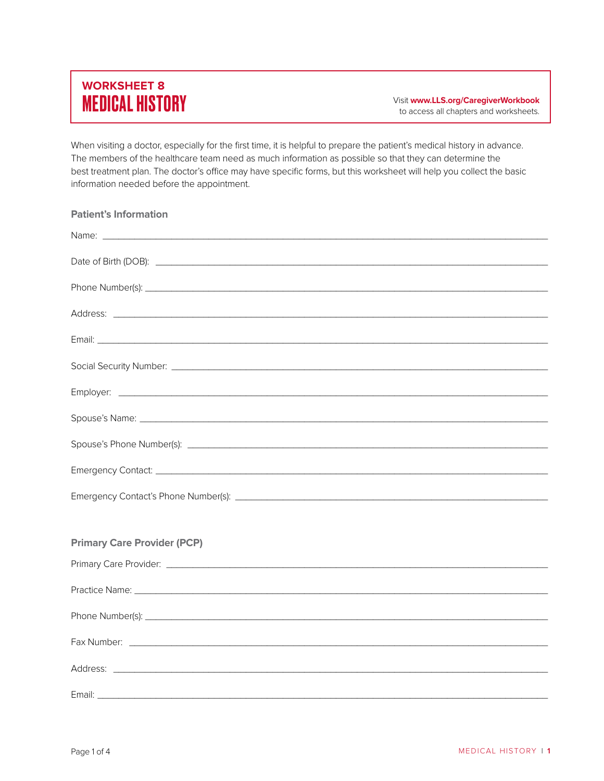## **WORKSHEET 8**

MEDICAL HISTORY Visit **www.LLS.org/CaregiverWorkbook** to access all chapters and worksheets.

When visiting a doctor, especially for the first time, it is helpful to prepare the patient's medical history in advance. The members of the healthcare team need as much information as possible so that they can determine the best treatment plan. The doctor's office may have specific forms, but this worksheet will help you collect the basic information needed before the appointment.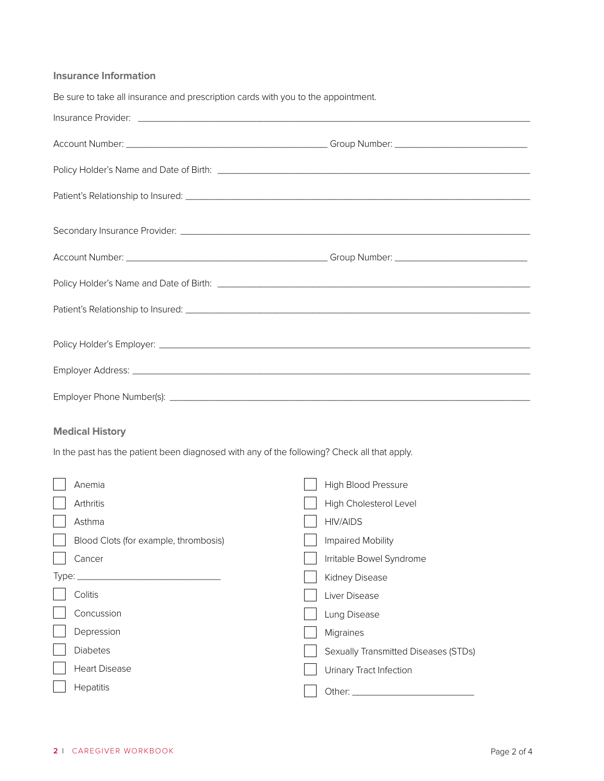## **Insurance Information**

| Be sure to take all insurance and prescription cards with you to the appointment.                                                                                                                                             |                                      |
|-------------------------------------------------------------------------------------------------------------------------------------------------------------------------------------------------------------------------------|--------------------------------------|
|                                                                                                                                                                                                                               |                                      |
|                                                                                                                                                                                                                               |                                      |
|                                                                                                                                                                                                                               |                                      |
|                                                                                                                                                                                                                               |                                      |
|                                                                                                                                                                                                                               |                                      |
|                                                                                                                                                                                                                               |                                      |
| Policy Holder's Name and Date of Birth: [1986] [1986] [1986] [1986] [1986] [1986] [1986] [1986] [1986] [1986] [1986] [1986] [1986] [1986] [1986] [1986] [1986] [1986] [1986] [1986] [1986] [1986] [1986] [1986] [1986] [1986] |                                      |
|                                                                                                                                                                                                                               |                                      |
|                                                                                                                                                                                                                               |                                      |
|                                                                                                                                                                                                                               |                                      |
|                                                                                                                                                                                                                               |                                      |
| <b>Medical History</b>                                                                                                                                                                                                        |                                      |
| In the past has the patient been diagnosed with any of the following? Check all that apply.                                                                                                                                   |                                      |
| Anemia                                                                                                                                                                                                                        | High Blood Pressure                  |
| Arthritis                                                                                                                                                                                                                     | High Cholesterol Level               |
| Asthma                                                                                                                                                                                                                        | <b>HIV/AIDS</b>                      |
| Blood Clots (for example, thrombosis)                                                                                                                                                                                         | Impaired Mobility                    |
| Cancer                                                                                                                                                                                                                        | Irritable Bowel Syndrome             |
| Type:<br>the control of the control of the control of the control of the control of the control of                                                                                                                            | Kidney Disease                       |
| Colitis                                                                                                                                                                                                                       | Liver Disease                        |
| Concussion                                                                                                                                                                                                                    | Lung Disease                         |
| Depression                                                                                                                                                                                                                    | Migraines                            |
| <b>Diabetes</b>                                                                                                                                                                                                               | Sexually Transmitted Diseases (STDs) |
| <b>Heart Disease</b>                                                                                                                                                                                                          | Urinary Tract Infection              |

 $\Box$  Hepatitis

Other: \_\_\_\_\_\_\_\_\_\_\_\_\_\_\_\_\_\_\_\_\_\_\_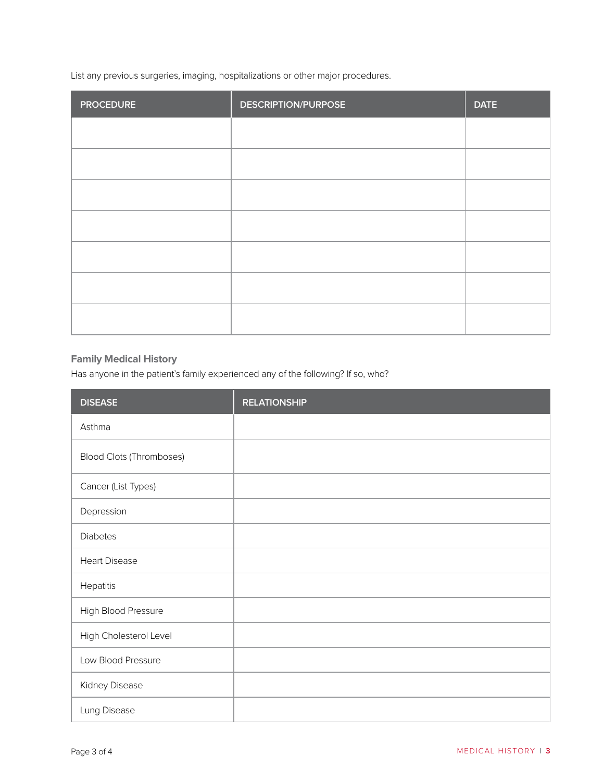List any previous surgeries, imaging, hospitalizations or other major procedures.

| <b>PROCEDURE</b> | <b>DESCRIPTION/PURPOSE</b> | <b>DATE</b> |
|------------------|----------------------------|-------------|
|                  |                            |             |
|                  |                            |             |
|                  |                            |             |
|                  |                            |             |
|                  |                            |             |
|                  |                            |             |
|                  |                            |             |

## **Family Medical History**

Has anyone in the patient's family experienced any of the following? If so, who?

| <b>DISEASE</b>                  | <b>RELATIONSHIP</b> |
|---------------------------------|---------------------|
| Asthma                          |                     |
| <b>Blood Clots (Thromboses)</b> |                     |
| Cancer (List Types)             |                     |
| Depression                      |                     |
| <b>Diabetes</b>                 |                     |
| <b>Heart Disease</b>            |                     |
| Hepatitis                       |                     |
| High Blood Pressure             |                     |
| High Cholesterol Level          |                     |
| Low Blood Pressure              |                     |
| Kidney Disease                  |                     |
| Lung Disease                    |                     |